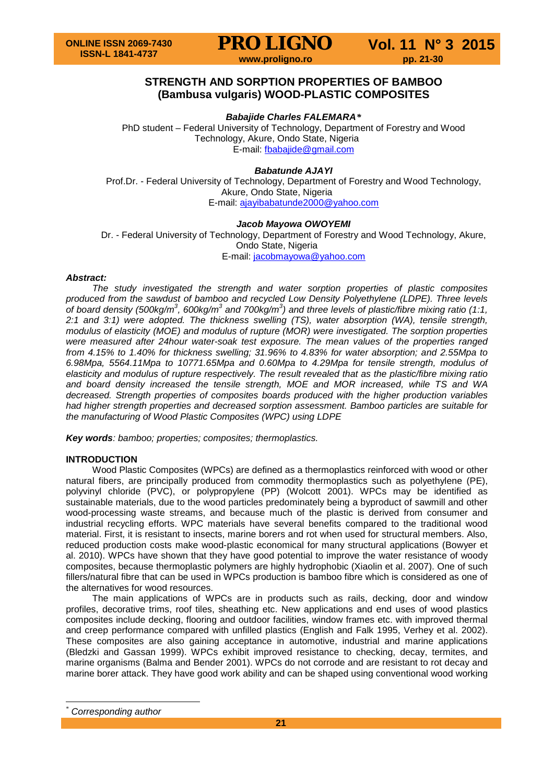

# **STRENGTH AND SORPTION PROPERTIES OF BAMBOO (Bambusa vulgaris) WOOD-PLASTIC COMPOSITES**

*Babajide Charles FALEMARA[\\*](#page-0-0)*

PhD student – Federal University of Technology, Department of Forestry and Wood Technology, Akure, Ondo State, Nigeria E-mail: [fbabajide@gmail.com](mailto:fbabajide@gmail.com)

# *Babatunde AJAYI*

Prof.Dr. - Federal University of Technology, Department of Forestry and Wood Technology, Akure, Ondo State, Nigeria E-mail: [ajayibabatunde2000@yahoo.com](mailto:ajayibabatunde2000@yahoo.com)

## *Jacob Mayowa OWOYEMI*

Dr. - Federal University of Technology, Department of Forestry and Wood Technology, Akure, Ondo State, Nigeria E-mail: [jacobmayowa@yahoo.com](mailto:jacobmayowa@yahoo.com)

# *Abstract:*

*The study investigated the strength and water sorption properties of plastic composites produced from the sawdust of bamboo and recycled Low Density Polyethylene (LDPE). Three levels of board density (500kg/m<sup>3</sup> , 600kg/m3 and 700kg/m<sup>3</sup> ) and three levels of plastic/fibre mixing ratio (1:1, 2:1 and 3:1) were adopted. The thickness swelling (TS), water absorption (WA), tensile strength, modulus of elasticity (MOE) and modulus of rupture (MOR) were investigated. The sorption properties were measured after 24hour water-soak test exposure. The mean values of the properties ranged from 4.15% to 1.40% for thickness swelling; 31.96% to 4.83% for water absorption; and 2.55Mpa to 6.98Mpa, 5564.11Mpa to 10771.65Mpa and 0.60Mpa to 4.29Mpa for tensile strength, modulus of elasticity and modulus of rupture respectively. The result revealed that as the plastic/fibre mixing ratio and board density increased the tensile strength, MOE and MOR increased, while TS and WA decreased. Strength properties of composites boards produced with the higher production variables had higher strength properties and decreased sorption assessment. Bamboo particles are suitable for the manufacturing of Wood Plastic Composites (WPC) using LDPE*

*Key words: bamboo; properties; composites; thermoplastics.*

# **INTRODUCTION**

Wood Plastic Composites (WPCs) are defined as a thermoplastics reinforced with wood or other natural fibers, are principally produced from commodity thermoplastics such as polyethylene (PE), polyvinyl chloride (PVC), or polypropylene (PP) (Wolcott 2001). WPCs may be identified as sustainable materials, due to the wood particles predominately being a byproduct of sawmill and other wood-processing waste streams, and because much of the plastic is derived from consumer and industrial recycling efforts. WPC materials have several benefits compared to the traditional wood material. First, it is resistant to insects, marine borers and rot when used for structural members. Also, reduced production costs make wood-plastic economical for many structural applications (Bowyer et al. 2010). WPCs have shown that they have good potential to improve the water resistance of woody composites, because thermoplastic polymers are highly hydrophobic (Xiaolin et al. 2007). One of such fillers/natural fibre that can be used in WPCs production is bamboo fibre which is considered as one of the alternatives for wood resources.

The main applications of WPCs are in products such as rails, decking, door and window profiles, decorative trims, roof tiles, sheathing etc. New applications and end uses of wood plastics composites include decking, flooring and outdoor facilities, window frames etc. with improved thermal and creep performance compared with unfilled plastics (English and Falk 1995, Verhey et al. 2002). These composites are also gaining acceptance in automotive, industrial and marine applications (Bledzki and Gassan 1999). WPCs exhibit improved resistance to checking, decay, termites, and marine organisms (Balma and Bender 2001). WPCs do not corrode and are resistant to rot decay and marine borer attack. They have good work ability and can be shaped using conventional wood working

<span id="page-0-0"></span> $Corresponding author$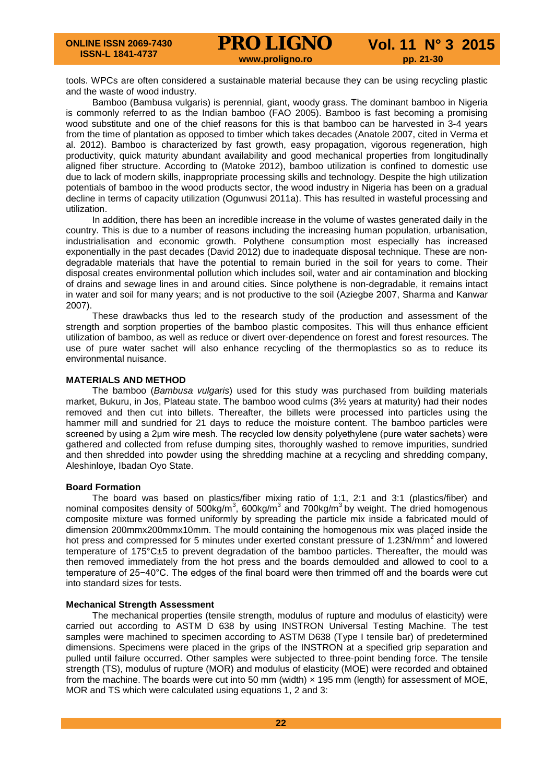tools. WPCs are often considered a sustainable material because they can be using recycling plastic and the waste of wood industry.

Bamboo (Bambusa vulgaris) is perennial, giant, woody grass. The dominant bamboo in Nigeria is commonly referred to as the Indian bamboo (FAO 2005). Bamboo is fast becoming a promising wood substitute and one of the chief reasons for this is that bamboo can be harvested in 3-4 years from the time of plantation as opposed to timber which takes decades (Anatole 2007, cited in Verma et al. 2012). Bamboo is characterized by fast growth, easy propagation, vigorous regeneration, high productivity, quick maturity abundant availability and good mechanical properties from longitudinally aligned fiber structure. According to (Matoke 2012), bamboo utilization is confined to domestic use due to lack of modern skills, inappropriate processing skills and technology. Despite the high utilization potentials of bamboo in the wood products sector, the wood industry in Nigeria has been on a gradual decline in terms of capacity utilization (Ogunwusi 2011a). This has resulted in wasteful processing and utilization.

In addition, there has been an incredible increase in the volume of wastes generated daily in the country. This is due to a number of reasons including the increasing human population, urbanisation, industrialisation and economic growth. Polythene consumption most especially has increased exponentially in the past decades (David 2012) due to inadequate disposal technique. These are nondegradable materials that have the potential to remain buried in the soil for years to come. Their disposal creates environmental pollution which includes soil, water and air contamination and blocking of drains and sewage lines in and around cities. Since polythene is non-degradable, it remains intact in water and soil for many years; and is not productive to the soil (Aziegbe 2007, Sharma and Kanwar 2007).

These drawbacks thus led to the research study of the production and assessment of the strength and sorption properties of the bamboo plastic composites. This will thus enhance efficient utilization of bamboo, as well as reduce or divert over-dependence on forest and forest resources. The use of pure water sachet will also enhance recycling of the thermoplastics so as to reduce its environmental nuisance.

### **MATERIALS AND METHOD**

The bamboo (*Bambusa vulgaris*) used for this study was purchased from building materials market, Bukuru, in Jos, Plateau state. The bamboo wood culms (3½ years at maturity) had their nodes removed and then cut into billets. Thereafter, the billets were processed into particles using the hammer mill and sundried for 21 days to reduce the moisture content. The bamboo particles were screened by using a 2μm wire mesh. The recycled low density polyethylene (pure water sachets) were gathered and collected from refuse dumping sites, thoroughly washed to remove impurities, sundried and then shredded into powder using the shredding machine at a recycling and shredding company, Aleshinloye, Ibadan Oyo State.

### **Board Formation**

The board was based on plastics/fiber mixing ratio of 1:1, 2:1 and 3:1 (plastics/fiber) and nominal composites density of 500kg/m<sup>3</sup>, 600kg/m<sup>3</sup> and 700kg/m<sup>3</sup> by weight. The dried homogenous composite mixture was formed uniformly by spreading the particle mix inside a fabricated mould of dimension 200mmx200mmx10mm. The mould containing the homogenous mix was placed inside the hot press and compressed for 5 minutes under exerted constant pressure of 1.23N/mm<sup>2</sup> and lowered temperature of 175°C±5 to prevent degradation of the bamboo particles. Thereafter, the mould was then removed immediately from the hot press and the boards demoulded and allowed to cool to a temperature of 25−40°C. The edges of the final board were then trimmed off and the boards were cut into standard sizes for tests.

### **Mechanical Strength Assessment**

The mechanical properties (tensile strength, modulus of rupture and modulus of elasticity) were carried out according to ASTM D 638 by using INSTRON Universal Testing Machine. The test samples were machined to specimen according to ASTM D638 (Type I tensile bar) of predetermined dimensions. Specimens were placed in the grips of the INSTRON at a specified grip separation and pulled until failure occurred. Other samples were subjected to three-point bending force. The tensile strength (TS), modulus of rupture (MOR) and modulus of elasticity (MOE) were recorded and obtained from the machine. The boards were cut into 50 mm (width) x 195 mm (length) for assessment of MOE, MOR and TS which were calculated using equations 1, 2 and 3: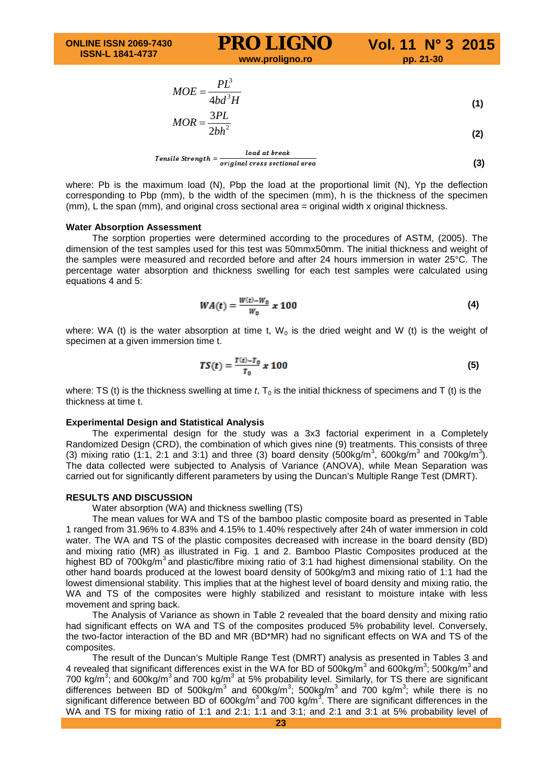$$
MOE = \frac{PL^3}{4bd^3H}
$$
 (1)

$$
MOR = \frac{3PL}{2bh^2}
$$
 (2)

Tensile Strengeth = 
$$
\frac{load\ at\ break}{original\ cross\ sectional\ area}
$$

\n(3)

where: Pb is the maximum load (N), Pbp the load at the proportional limit (N), Yp the deflection corresponding to Pbp (mm), b the width of the specimen (mm), h is the thickness of the specimen (mm), L the span (mm), and original cross sectional area = original width x original thickness.

#### **Water Absorption Assessment**

The sorption properties were determined according to the procedures of ASTM, (2005). The dimension of the test samples used for this test was 50mmx50mm. The initial thickness and weight of the samples were measured and recorded before and after 24 hours immersion in water 25°C. The percentage water absorption and thickness swelling for each test samples were calculated using equations 4 and 5:

$$
WA(t) = \frac{W(t) - W_0}{W_0} x 100
$$
 (4)

where: WA (t) is the water absorption at time t,  $W_0$  is the dried weight and W (t) is the weight of specimen at a given immersion time t.

$$
TS(t) = \frac{T(t) - T_0}{T_0} x 100
$$
 (5)

where: TS (t) is the thickness swelling at time *t*, T<sub>0</sub> is the initial thickness of specimens and T (t) is the thickness at time t.

#### **Experimental Design and Statistical Analysis**

The experimental design for the study was a 3x3 factorial experiment in a Completely Randomized Design (CRD), the combination of which gives nine (9) treatments. This consists of three (3) mixing ratio (1:1, 2:1 and 3:1) and three (3) board density (500kg/m<sup>3</sup>, 600kg/m<sup>3</sup> and 700kg/m<sup>3</sup>). The data collected were subjected to Analysis of Variance (ANOVA), while Mean Separation was carried out for significantly different parameters by using the Duncan's Multiple Range Test (DMRT).

#### **RESULTS AND DISCUSSION**

Water absorption (WA) and thickness swelling (TS)

The mean values for WA and TS of the bamboo plastic composite board as presented in Table 1 ranged from 31.96% to 4.83% and 4.15% to 1.40% respectively after 24h of water immersion in cold water. The WA and TS of the plastic composites decreased with increase in the board density (BD) and mixing ratio (MR) as illustrated in Fig. 1 and 2. Bamboo Plastic Composites produced at the highest BD of  $700 \text{kg/m}^3$  and plastic/fibre mixing ratio of 3:1 had highest dimensional stability. On the other hand boards produced at the lowest board density of 500kg/m3 and mixing ratio of 1:1 had the lowest dimensional stability. This implies that at the highest level of board density and mixing ratio, the WA and TS of the composites were highly stabilized and resistant to moisture intake with less movement and spring back.

The Analysis of Variance as shown in Table 2 revealed that the board density and mixing ratio had significant effects on WA and TS of the composites produced 5% probability level. Conversely, the two-factor interaction of the BD and MR (BD\*MR) had no significant effects on WA and TS of the composites.

The result of the Duncan's Multiple Range Test (DMRT) analysis as presented in Tables 3 and 4 revealed that significant differences exist in the WA for BD of 500kg/m<sup>3</sup> and 600kg/m<sup>3</sup>; 500kg/m<sup>3</sup> and 700 kg/m<sup>3</sup>; and 600kg/m<sup>3</sup> and 700 kg/m<sup>3</sup> at 5% probability level. Similarly, for TS there are significant differences between BD of 500kg/m<sup>3</sup> and 600kg/m<sup>3</sup>; 500kg/m<sup>3</sup> and 700 kg/m<sup>3</sup>; while there is no significant difference between BD of 600kg/m<sup>3</sup> and 700 kg/m<sup>3</sup>. There are significant differences in the WA and TS for mixing ratio of 1:1 and 2:1; 1:1 and 3:1; and 2:1 and 3:1 at 5% probability level of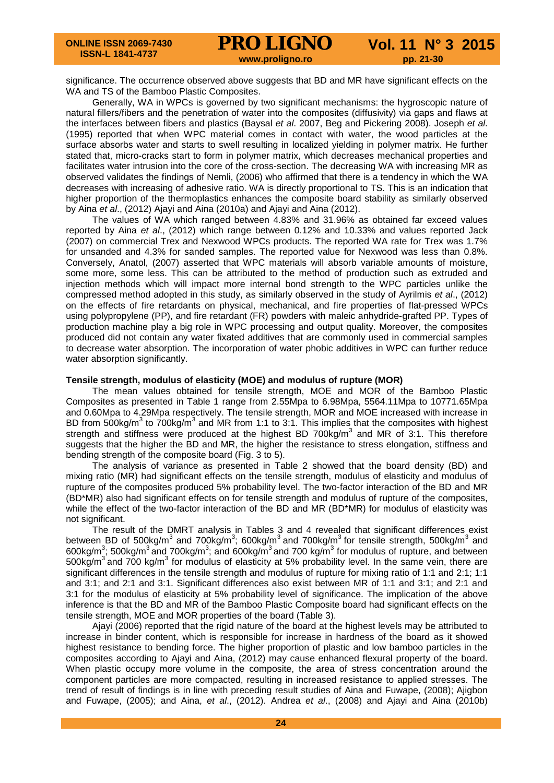significance. The occurrence observed above suggests that BD and MR have significant effects on the WA and TS of the Bamboo Plastic Composites.

Generally, WA in WPCs is governed by two significant mechanisms: the hygroscopic nature of natural fillers/fibers and the penetration of water into the composites (diffusivity) via gaps and flaws at the interfaces between fibers and plastics (Baysal *et al*. 2007, Beg and Pickering 2008). Joseph *et al*. (1995) reported that when WPC material comes in contact with water, the wood particles at the surface absorbs water and starts to swell resulting in localized yielding in polymer matrix. He further stated that, micro-cracks start to form in polymer matrix, which decreases mechanical properties and facilitates water intrusion into the core of the cross-section. The decreasing WA with increasing MR as observed validates the findings of Nemli, (2006) who affirmed that there is a tendency in which the WA decreases with increasing of adhesive ratio. WA is directly proportional to TS. This is an indication that higher proportion of the thermoplastics enhances the composite board stability as similarly observed by Aina *et al*., (2012) Ajayi and Aina (2010a) and Ajayi and Aina (2012).

The values of WA which ranged between 4.83% and 31.96% as obtained far exceed values reported by Aina *et al*., (2012) which range between 0.12% and 10.33% and values reported Jack (2007) on commercial Trex and Nexwood WPCs products. The reported WA rate for Trex was 1.7% for unsanded and 4.3% for sanded samples. The reported value for Nexwood was less than 0.8%. Conversely, Anatol, (2007) asserted that WPC materials will absorb variable amounts of moisture, some more, some less. This can be attributed to the method of production such as extruded and injection methods which will impact more internal bond strength to the WPC particles unlike the compressed method adopted in this study, as similarly observed in the study of Ayrilmis *et al*., (2012) on the effects of fire retardants on physical, mechanical, and fire properties of flat-pressed WPCs using polypropylene (PP), and fire retardant (FR) powders with maleic anhydride-grafted PP. Types of production machine play a big role in WPC processing and output quality. Moreover, the composites produced did not contain any water fixated additives that are commonly used in commercial samples to decrease water absorption. The incorporation of water phobic additives in WPC can further reduce water absorption significantly.

### **Tensile strength, modulus of elasticity (MOE) and modulus of rupture (MOR)**

The mean values obtained for tensile strength, MOE and MOR of the Bamboo Plastic Composites as presented in Table 1 range from 2.55Mpa to 6.98Mpa, 5564.11Mpa to 10771.65Mpa and 0.60Mpa to 4.29Mpa respectively. The tensile strength, MOR and MOE increased with increase in BD from 500kg/m<sup>3</sup> to 700kg/m<sup>3</sup> and MR from 1:1 to 3:1. This implies that the composites with highest strength and stiffness were produced at the highest BD 700kg/ $m<sup>3</sup>$  and MR of 3:1. This therefore suggests that the higher the BD and MR, the higher the resistance to stress elongation, stiffness and bending strength of the composite board (Fig. 3 to 5).

The analysis of variance as presented in Table 2 showed that the board density (BD) and mixing ratio (MR) had significant effects on the tensile strength, modulus of elasticity and modulus of rupture of the composites produced 5% probability level. The two-factor interaction of the BD and MR (BD\*MR) also had significant effects on for tensile strength and modulus of rupture of the composites, while the effect of the two-factor interaction of the BD and MR (BD\*MR) for modulus of elasticity was not significant.

The result of the DMRT analysis in Tables 3 and 4 revealed that significant differences exist between BD of 500kg/m<sup>3</sup> and 700kg/m<sup>3</sup>; 600kg/m<sup>3</sup> and 700kg/m<sup>3</sup> for tensile strength, 500kg/m<sup>3</sup> and 600kg/m<sup>3</sup>; 500kg/m<sup>3</sup> and 700kg/m<sup>3</sup>; and 600kg/m<sup>3</sup> and 700 kg/m<sup>3</sup> for modulus of rupture, and between 500kg/ $m^3$  and 700 kg/ $m^3$  for modulus of elasticity at 5% probability level. In the same vein, there are significant differences in the tensile strength and modulus of rupture for mixing ratio of 1:1 and 2:1; 1:1 and 3:1; and 2:1 and 3:1. Significant differences also exist between MR of 1:1 and 3:1; and 2:1 and 3:1 for the modulus of elasticity at 5% probability level of significance. The implication of the above inference is that the BD and MR of the Bamboo Plastic Composite board had significant effects on the tensile strength, MOE and MOR properties of the board (Table 3).

Ajayi (2006) reported that the rigid nature of the board at the highest levels may be attributed to increase in binder content, which is responsible for increase in hardness of the board as it showed highest resistance to bending force. The higher proportion of plastic and low bamboo particles in the composites according to Ajayi and Aina, (2012) may cause enhanced flexural property of the board. When plastic occupy more volume in the composite, the area of stress concentration around the component particles are more compacted, resulting in increased resistance to applied stresses. The trend of result of findings is in line with preceding result studies of Aina and Fuwape, (2008); Ajigbon and Fuwape, (2005); and Aina, *et al*., (2012). Andrea *et al*., (2008) and Ajayi and Aina (2010b)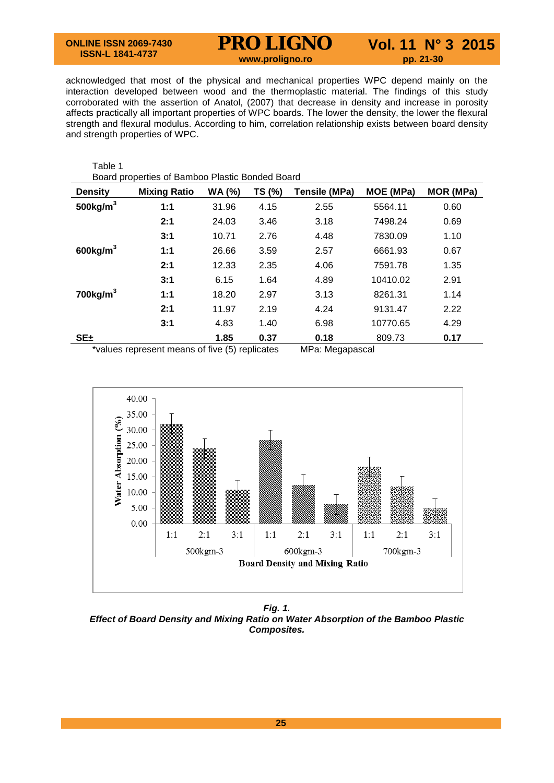# **PRO LIGNO** Vol. 11 N° 3 2015

acknowledged that most of the physical and mechanical properties WPC depend mainly on the interaction developed between wood and the thermoplastic material. The findings of this study corroborated with the assertion of Anatol, (2007) that decrease in density and increase in porosity affects practically all important properties of WPC boards. The lower the density, the lower the flexural strength and flexural modulus. According to him, correlation relationship exists between board density and strength properties of WPC.

| Table 1<br>Board properties of Bamboo Plastic Bonded Board |                                                     |               |        |                         |           |                  |  |
|------------------------------------------------------------|-----------------------------------------------------|---------------|--------|-------------------------|-----------|------------------|--|
| <b>Density</b>                                             | <b>Mixing Ratio</b>                                 | <b>WA (%)</b> | TS (%) | <b>Tensile (MPa)</b>    | MOE (MPa) | <b>MOR (MPa)</b> |  |
| 500 $kg/m3$                                                | 1:1                                                 | 31.96         | 4.15   | 2.55                    | 5564.11   | 0.60             |  |
|                                                            | 2:1                                                 | 24.03         | 3.46   | 3.18                    | 7498.24   | 0.69             |  |
|                                                            | 3:1                                                 | 10.71         | 2.76   | 4.48                    | 7830.09   | 1.10             |  |
| $600$ kg/m <sup>3</sup>                                    | 1:1                                                 | 26.66         | 3.59   | 2.57                    | 6661.93   | 0.67             |  |
|                                                            | 2:1                                                 | 12.33         | 2.35   | 4.06                    | 7591.78   | 1.35             |  |
|                                                            | 3:1                                                 | 6.15          | 1.64   | 4.89                    | 10410.02  | 2.91             |  |
| $700$ kg/m <sup>3</sup>                                    | 1:1                                                 | 18.20         | 2.97   | 3.13                    | 8261.31   | 1.14             |  |
|                                                            | 2:1                                                 | 11.97         | 2.19   | 4.24                    | 9131.47   | 2.22             |  |
|                                                            | 3:1                                                 | 4.83          | 1.40   | 6.98                    | 10770.65  | 4.29             |  |
| $SE_{\pm}$                                                 | $*$ ualuga ranzonant moong of fius $(F)$ ranjigaton | 1.85          | 0.37   | 0.18<br>MDo: Mogonosool | 809.73    | 0.17             |  |

\*values represent means of five (5) replicates MPa: Megapascal



*Fig. 1. Effect of Board Density and Mixing Ratio on Water Absorption of the Bamboo Plastic Composites.*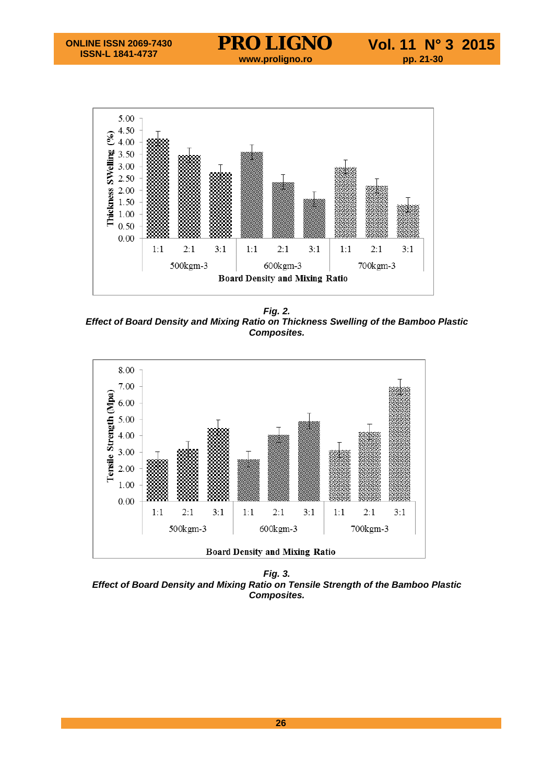

*Fig. 2. Effect of Board Density and Mixing Ratio on Thickness Swelling of the Bamboo Plastic Composites.*



*Fig. 3. Effect of Board Density and Mixing Ratio on Tensile Strength of the Bamboo Plastic Composites.*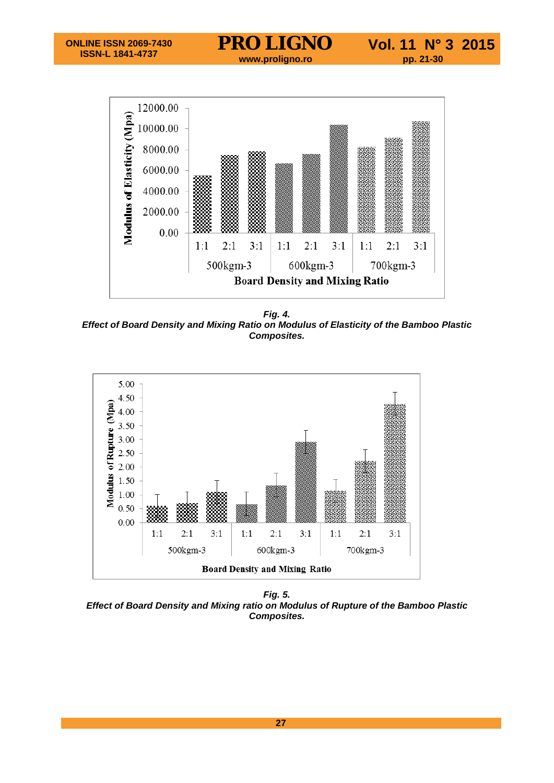

*Fig. 4. Effect of Board Density and Mixing Ratio on Modulus of Elasticity of the Bamboo Plastic Composites.*



*Fig. 5. Effect of Board Density and Mixing ratio on Modulus of Rupture of the Bamboo Plastic Composites.*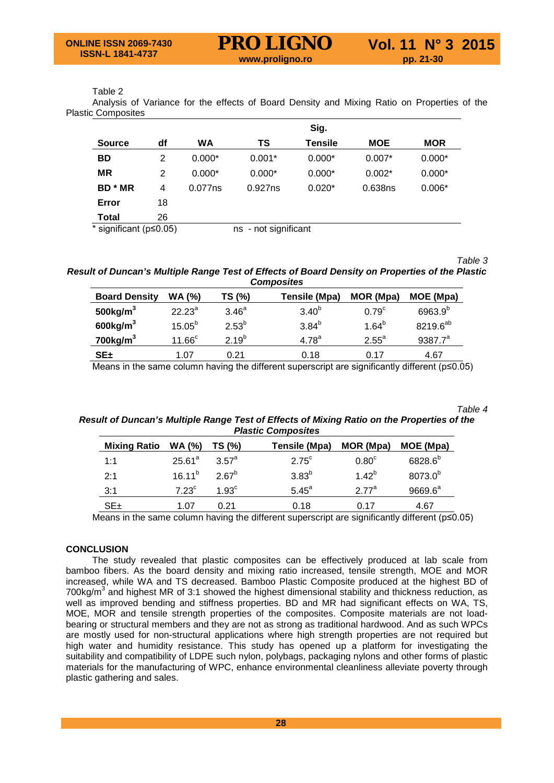### Table 2

Analysis of Variance for the effects of Board Density and Mixing Ratio on Properties of the Plastic Composites

|                                |    |           |                      | Sig.           |            |            |
|--------------------------------|----|-----------|----------------------|----------------|------------|------------|
| <b>Source</b>                  | df | <b>WA</b> | TS                   | <b>Tensile</b> | <b>MOE</b> | <b>MOR</b> |
| <b>BD</b>                      | 2  | $0.000*$  | $0.001*$             | $0.000*$       | $0.007*$   | $0.000*$   |
| <b>MR</b>                      | 2  | $0.000*$  | $0.000*$             | $0.000*$       | $0.002*$   | $0.000*$   |
| <b>BD</b> * MR                 | 4  | 0.077ns   | 0.927ns              | $0.020*$       | 0.638ns    | $0.006*$   |
| Error                          | 18 |           |                      |                |            |            |
| Total                          | 26 |           |                      |                |            |            |
| * significant ( $p \le 0.05$ ) |    |           | ns - not significant |                |            |            |

*Table 3*

*Result of Duncan's Multiple Range Test of Effects of Board Density on Properties of the Plastic Composites*

| <b>Board Density</b>    | <b>WA (%)</b>    | TS (%)            | Tensile (Mpa)     | MOR (Mpa)         | MOE (Mpa)            |
|-------------------------|------------------|-------------------|-------------------|-------------------|----------------------|
| 500 $kg/m3$             | $22.23^a$        | 3.46 <sup>a</sup> | 3.40 <sup>b</sup> | 0.79 <sup>c</sup> | 6963.9 <sup>b</sup>  |
| $600$ kg/m <sup>3</sup> | $15.05^{b}$      | $2.53^{b}$        | $3.84^{b}$        | $1.64^{b}$        | 8219.6 <sup>ab</sup> |
| $700$ kg/m $3$          | 11.66 $^{\circ}$ | $2.19^{b}$        | $4.78^{a}$        | $2.55^{\circ}$    | $9387.7^a$           |
| SE±                     | 1.07             | 0.21              | 0.18              | 0.17              | 4.67                 |

Means in the same column having the different superscript are significantly different (p≤0.05)

*Table 4*

*Result of Duncan's Multiple Range Test of Effects of Mixing Ratio on the Properties of the Plastic Composites*

| <b>Mixing Ratio</b> | <b>WA (%)</b>  | TS (%)             | Tensile (Mpa)  | MOR (Mpa)         | MOE (Mpa)           |
|---------------------|----------------|--------------------|----------------|-------------------|---------------------|
| 1:1                 | $25.61^a$      | 3.57 <sup>a</sup>  | $2.75^{\circ}$ | 0.80 <sup>c</sup> | 6828.6 <sup>b</sup> |
| 2:1                 | $16.11^{b}$    | $2.67^b$           | $3.83^{b}$     | $1.42^{b}$        | 8073.0 <sup>b</sup> |
| 3:1                 | $7.23^{\circ}$ | 1.93 $\textdegree$ | $5.45^{\circ}$ | $277^a$           | $9669.6^a$          |
| $SE_{\pm}$          | 1.07           | 0.21               | 0.18           | 0.17              | 4.67                |

Means in the same column having the different superscript are significantly different (p≤0.05)

# **CONCLUSION**

The study revealed that plastic composites can be effectively produced at lab scale from bamboo fibers. As the board density and mixing ratio increased, tensile strength, MOE and MOR increased, while WA and TS decreased. Bamboo Plastic Composite produced at the highest BD of 700kg/ $m<sup>3</sup>$  and highest MR of 3:1 showed the highest dimensional stability and thickness reduction, as well as improved bending and stiffness properties. BD and MR had significant effects on WA, TS, MOE, MOR and tensile strength properties of the composites. Composite materials are not loadbearing or structural members and they are not as strong as traditional hardwood. And as such WPCs are mostly used for non-structural applications where high strength properties are not required but high water and humidity resistance. This study has opened up a platform for investigating the suitability and compatibility of LDPE such nylon, polybags, packaging nylons and other forms of plastic materials for the manufacturing of WPC, enhance environmental cleanliness alleviate poverty through plastic gathering and sales.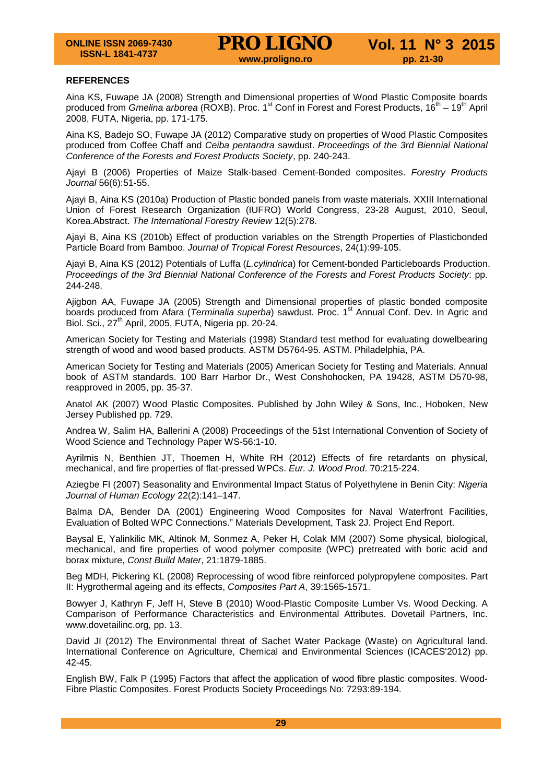# **REFERENCES**

Aina KS, Fuwape JA (2008) Strength and Dimensional properties of Wood Plastic Composite boards produced from *Gmelina arborea* (ROXB). Proc. 1<sup>st</sup> Conf in Forest and Forest Products, 16<sup>th</sup> – 19<sup>th</sup> April 2008, FUTA, Nigeria, pp. 171-175.

Aina KS, Badejo SO, Fuwape JA (2012) Comparative study on properties of Wood Plastic Composites produced from Coffee Chaff and *Ceiba pentandra* sawdust. *Proceedings of the 3rd Biennial National Conference of the Forests and Forest Products Society*, pp. 240-243.

Ajayi B (2006) Properties of Maize Stalk-based Cement-Bonded composites. *Forestry Products Journal* 56(6):51-55.

Ajayi B, Aina KS (2010a) Production of Plastic bonded panels from waste materials. XXIII International Union of Forest Research Organization (IUFRO) World Congress, 23-28 August, 2010, Seoul, Korea.Abstract. *The International Forestry Review* 12(5):278.

Ajayi B, Aina KS (2010b) Effect of production variables on the Strength Properties of Plasticbonded Particle Board from Bamboo. *Journal of Tropical Forest Resources*, 24(1):99-105.

Ajayi B, Aina KS (2012) Potentials of Luffa (*L.cylindrica*) for Cement-bonded Particleboards Production. *Proceedings of the 3rd Biennial National Conference of the Forests and Forest Products Society*: pp. 244-248.

Ajigbon AA, Fuwape JA (2005) Strength and Dimensional properties of plastic bonded composite boards produced from Afara (*Terminalia superba*) sawdust. Proc. 1<sup>st</sup> Annual Conf. Dev. In Agric and Biol. Sci., 27<sup>th</sup> April, 2005, FUTA, Nigeria pp. 20-24.

American Society for Testing and Materials (1998) Standard test method for evaluating dowelbearing strength of wood and wood based products. ASTM D5764-95. ASTM. Philadelphia, PA.

American Society for Testing and Materials (2005) American Society for Testing and Materials. Annual book of ASTM standards. 100 Barr Harbor Dr., West Conshohocken, PA 19428, ASTM D570-98, reapproved in 2005, pp. 35-37.

Anatol AK (2007) Wood Plastic Composites. Published by John Wiley & Sons, Inc., Hoboken, New Jersey Published pp. 729.

Andrea W, Salim HA, Ballerini A (2008) Proceedings of the 51st International Convention of Society of Wood Science and Technology Paper WS-56:1-10.

Ayrilmis N, Benthien JT, Thoemen H, White RH (2012) Effects of fire retardants on physical, mechanical, and fire properties of flat-pressed WPCs. *Eur. J. Wood Prod*. 70:215-224.

Aziegbe FI (2007) Seasonality and Environmental Impact Status of Polyethylene in Benin City: *Nigeria Journal of Human Ecology* 22(2):141–147.

Balma DA, Bender DA (2001) Engineering Wood Composites for Naval Waterfront Facilities, Evaluation of Bolted WPC Connections." Materials Development, Task 2J. Project End Report.

Baysal E, Yalinkilic MK, Altinok M, Sonmez A, Peker H, Colak MM (2007) Some physical, biological, mechanical, and fire properties of wood polymer composite (WPC) pretreated with boric acid and borax mixture, *Const Build Mater*, 21:1879-1885.

Beg MDH, Pickering KL (2008) Reprocessing of wood fibre reinforced polypropylene composites. Part II: Hygrothermal ageing and its effects, *Composites Part A*, 39:1565-1571.

Bowyer J, Kathryn F, Jeff H, Steve B (2010) Wood-Plastic Composite Lumber Vs. Wood Decking. A Comparison of Performance Characteristics and Environmental Attributes. Dovetail Partners, Inc. www.dovetailinc.org, pp. 13.

David JI (2012) The Environmental threat of Sachet Water Package (Waste) on Agricultural land. International Conference on Agriculture, Chemical and Environmental Sciences (ICACES'2012) pp. 42-45.

English BW, Falk P (1995) Factors that affect the application of wood fibre plastic composites. Wood-Fibre Plastic Composites. Forest Products Society Proceedings No: 7293:89-194.